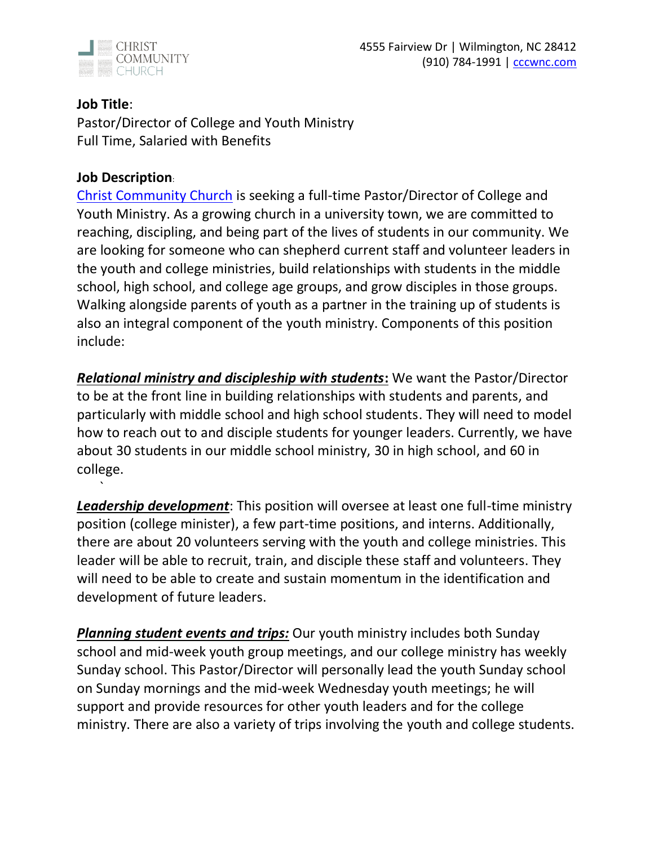

## **Job Title**:

`

Pastor/Director of College and Youth Ministry Full Time, Salaried with Benefits

#### **Job Description**:

[Christ Community Church](https://cccwnc.com/) is seeking a full-time Pastor/Director of College and Youth Ministry. As a growing church in a university town, we are committed to reaching, discipling, and being part of the lives of students in our community. We are looking for someone who can shepherd current staff and volunteer leaders in the youth and college ministries, build relationships with students in the middle school, high school, and college age groups, and grow disciples in those groups. Walking alongside parents of youth as a partner in the training up of students is also an integral component of the youth ministry. Components of this position include:

*Relational ministry and discipleship with students***:** We want the Pastor/Director to be at the front line in building relationships with students and parents, and particularly with middle school and high school students. They will need to model how to reach out to and disciple students for younger leaders. Currently, we have about 30 students in our middle school ministry, 30 in high school, and 60 in college.

*Leadership development*: This position will oversee at least one full-time ministry position (college minister), a few part-time positions, and interns. Additionally, there are about 20 volunteers serving with the youth and college ministries. This leader will be able to recruit, train, and disciple these staff and volunteers. They will need to be able to create and sustain momentum in the identification and development of future leaders.

*Planning student events and trips:* Our youth ministry includes both Sunday school and mid-week youth group meetings, and our college ministry has weekly Sunday school. This Pastor/Director will personally lead the youth Sunday school on Sunday mornings and the mid-week Wednesday youth meetings; he will support and provide resources for other youth leaders and for the college ministry. There are also a variety of trips involving the youth and college students.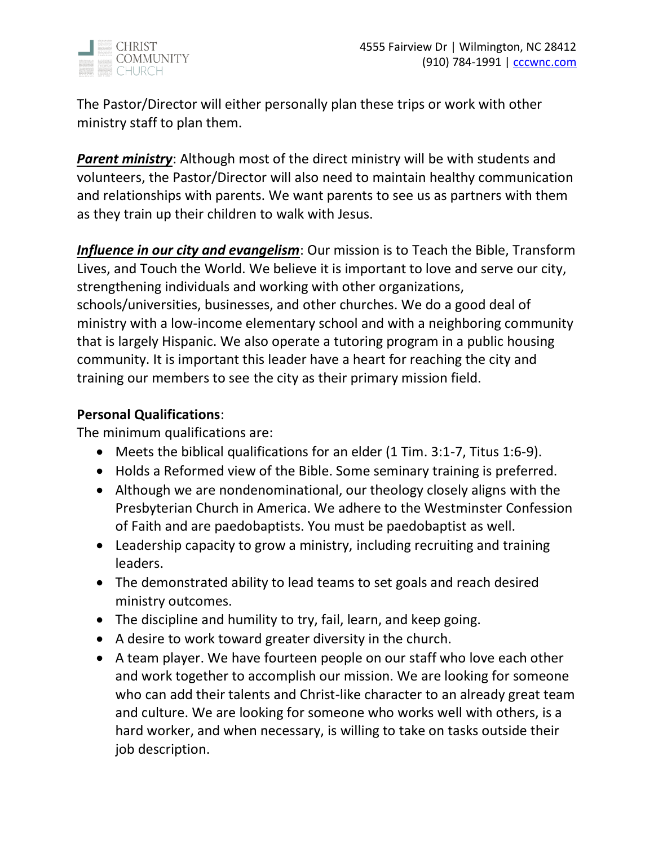

The Pastor/Director will either personally plan these trips or work with other ministry staff to plan them.

*Parent ministry*: Although most of the direct ministry will be with students and volunteers, the Pastor/Director will also need to maintain healthy communication and relationships with parents. We want parents to see us as partners with them as they train up their children to walk with Jesus.

*Influence in our city and evangelism*: Our mission is to Teach the Bible, Transform Lives, and Touch the World. We believe it is important to love and serve our city, strengthening individuals and working with other organizations, schools/universities, businesses, and other churches. We do a good deal of ministry with a low-income elementary school and with a neighboring community that is largely Hispanic. We also operate a tutoring program in a public housing community. It is important this leader have a heart for reaching the city and training our members to see the city as their primary mission field.

## **Personal Qualifications**:

The minimum qualifications are:

- Meets the biblical qualifications for an elder (1 Tim. 3:1-7, Titus 1:6-9).
- Holds a Reformed view of the Bible. Some seminary training is preferred.
- Although we are nondenominational, our theology closely aligns with the Presbyterian Church in America. We adhere to the Westminster Confession of Faith and are paedobaptists. You must be paedobaptist as well.
- Leadership capacity to grow a ministry, including recruiting and training leaders.
- The demonstrated ability to lead teams to set goals and reach desired ministry outcomes.
- The discipline and humility to try, fail, learn, and keep going.
- A desire to work toward greater diversity in the church.
- A team player. We have fourteen people on our staff who love each other and work together to accomplish our mission. We are looking for someone who can add their talents and Christ-like character to an already great team and culture. We are looking for someone who works well with others, is a hard worker, and when necessary, is willing to take on tasks outside their job description.